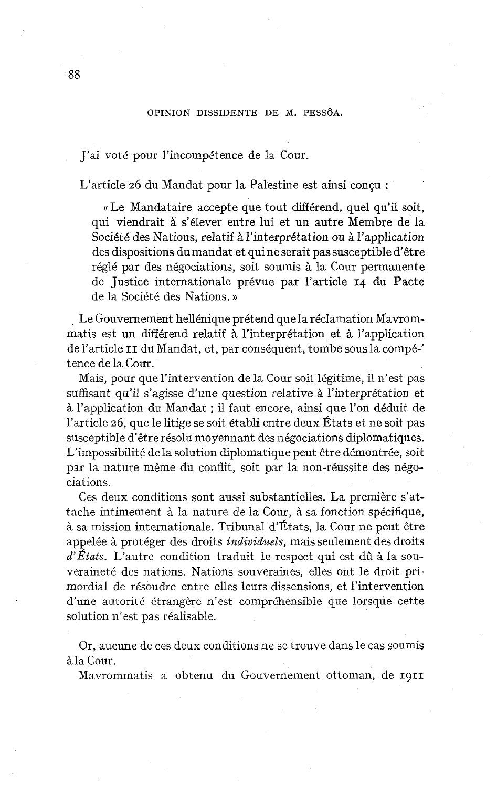## OPINION DISSIDENTE DE M. PESSÔA.

J'ai voté pour l'incompétence de la Cour.

L'article 26 du Mandat pour la Palestine est ainsi conçu :

«Le Mandataire accepte que tout différend, quel qu'il soit, qui viendrait à s'élever entre lui et un autre Membre de la Société des Nations, relatif à l'interprétation ou à l'application des dispositions du mandat et qui ne serait pas susceptible d'être réglé par des négociations, soit soumis à la Cour permanente de Justice internationale prévue par l'article 14 du Pacte de la Société des Nations. **1)** 

Le Gouvernement hellénique prétend que la réclamation Mavrommatis est un différend relatif à l'interprétation et à l'application de l'article II du Mandat, et, par conséquent, tombe sous la compé-' tence de la Cour.

Mais, pour que l'intervention de la Cour soit légitime, il n'est pas suffisant qu'il s'agisse d'une question relative à l'interprétation et <sup>à</sup>l'application du Mandat ; il faut encore, ainsi que l'on déduit de l'article 26, que le litige se soit établi entre deux États et ne soit pas susceptible d'être résolu moyennant des négociations diplomatiques. L'impossibilité de la solution diplomatique peut être démontrée, soit par la nature même du conflit, soit par la non-réussite des négociations.

Ces deux conditions sont aussi substantielles. La première s'attache intimement à la nature de la Cour, à sa fonction spécifique, à sa mission internationale. Tribunal d'États, la Cour ne peut être appelée à protéger des droits *individuels*, mais seulement des droits *d'États.* L'autre condition traduit le respect qui est dû à la souveraineté des nations. Nations souveraines, elles ont le droit primordial de résoudre entre elles leurs dissensions, et l'intervention d'une autorité étrangère n'est compréhensible que lorsque cette solution n'est pas réalisable.

Or, aucune de ces deux conditions ne se trouve dans le cas soumis à la Cour.

Mavrommatis a obtenu du Gouvernement ottoman, de **1911**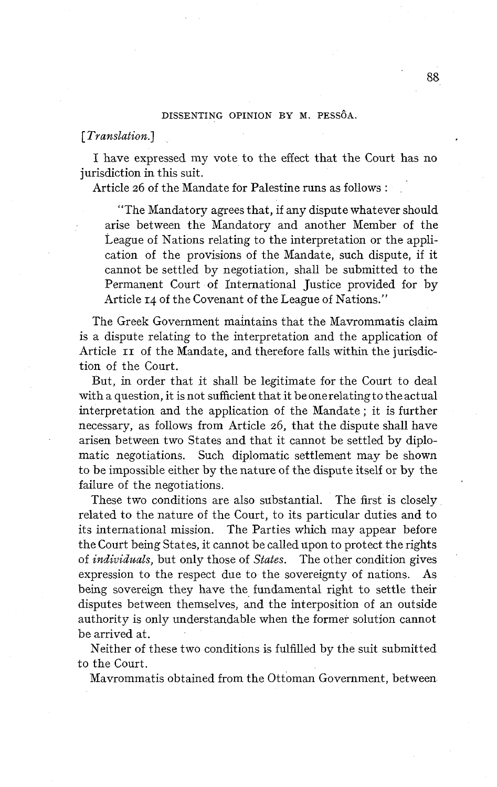## DISSENTING OPINION BY M. PESSÔA.

*[Translation.]* 

1 have expressed my vote to the effect that the Court has no jurisdiction in this suit.

Article 26 of the Mandate for Palestine runs as follows :

"The Mandatory agrees that, if any dispute whatever should arise between the Mandatory and another Member of the League of Nations relating to the interpretation or the application of the provisions of the Mandate, such dispute, if it cannot be settled by negotiation, shall be submitted to the Permanent Court of International Justice provided for by Article 14 of the Covenant of the League of Nations.''

The Greek Government maintains that the Mavrommatis claim is a dispute relating to the interpretation and the application of Article II of the Mandate, and therefore falls within the jurisdiction of the Court.

But, in order that it shall be legitimate for the Court to deal with a question, it is not sufficient that it beonerelatingto theactual interpretation and the application of the Mandate ; it is further necessary, as follows from Article 26, that the dispute shall have arisen between two States and that it cannot be settled by diplomatic negotiations. Such diplornatic settlement may be shown to be impossible either by the nature of the dispute itself or by the failure of the negotiations.

These two conditions are also substantial. The first is closely related to the nature of the Court, to its particular duties and to its international mission. The Parties which may appear before the Court being States, it cannot be called upon to protect the rights of *individuals,* but only those of *States.* The other condition gives expression to the respect due to the sovereignty of nations. As being sovereign they have the fundamental right to settle their disputes between themselves, and the interposition of an outside authority is only understandable when the former solution cannot be arrived at.

Neither of these two conditions **is** fulfilled by the suit submitted to the Court.

Mavrommatis obtained from the Ottoman Government, between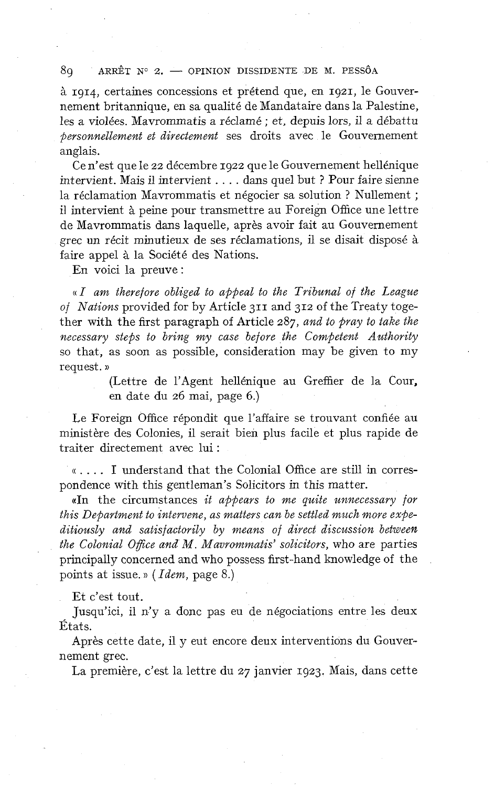#### 80 ARRÊT  $N^{\circ}$  2.  $\longrightarrow$  OPINION DISSIDENTE DE M. PESSÔA

à 1914, certaines concessions et prétend que, en 1921, le Gouvernement britannique, en sa qualité de Mandataire dans la Palestine, les a violées. Mavrommatis a réclamé ; et, depuis lors, il a débattu *personnellement et directement* ses droits avec le Gouvernement anglais.

Ce n'est que le 22 décembre 1922 que le Gouvernement hellénique intervient. Mais il intervient . . . . dans quel but ? Pour faire sienne la réclamation Mavrommatis et négocier sa solution ? Nullement ; il intervient à peine pour transmettre au Foreign Office une lettre de Mavrommatis dans laquelle, après avoir fait au Gouvernement grec un récit minutieux de ses réclamations, il se disait disposé à faire appel à la Société des Nations.

En voici la preuve :

« *I am therefore obliged to appeal to the Tribunal of the League of Nations* provided for by Article 311 and 312 of the Treaty together with the first paragraph of Article 287, *and to pray to take the necessary steps to bring my case before the Competent Authority*  so that, as soon as possible, consideration may be given to my request. »

> (Lettre de l'Agent hellénique au Greffier de la Cour, en date du 26 mai, page 6.)

Le Foreign Office répondit que l'affaire se trouvant confiée au ministère des Colonies, il serait bien plus facile et plus rapide de traiter directement avec lui :

(( . . . . **1** understand that the Colonial Office are still in correspondence with this gentleman's Solicitors in this matter.

((In the circumstances *it appears to me quite unnecessary for this Department to intervene, as matters can be settled much more expeditiously and satisfactorily by means of direct discussion between the Colonial Ogice and M. Mavrommatis' solicitors,* who are parties principally concerned and who possess first-hand knowledge of the points at issue. » ( *Idem,* page *8.)* 

Et c'est tout.

Jusqu'ici, il n'y a donc pas eu de négociations entre les deux États.

Après cette date, il y eut encore deux interventions du Gouvernement grec.

La première, c'est la lettre du 27 janvier 1923. Mais, dans cette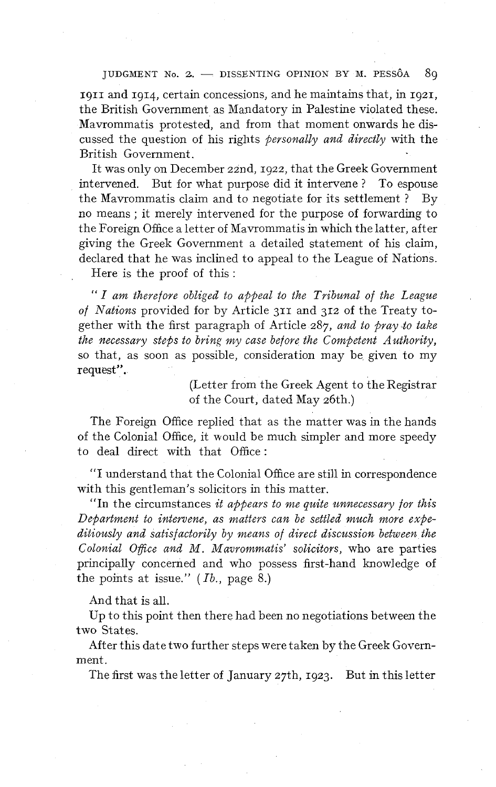#### JUDGMENT No. 2. - DISSENTING OPINION BY M. PESSÔA 80

1911 and 1914, certain concessions, and he maintains that, in 1921, the British Government as Mandatory in Palestine violated these. Mavrommatis protested, and from that moment onwards he discussed the question of his rights *personally and directly* with the British Government.

It was only on December zznd, 1922, that the Greek Govemment intervened. But for what purpose did it intervene ? To espouse the Mavrommatis claim and to negotiate for its settlement ? By no means ; it merely intervened for the purpose of forwarding to the Foreign Office a letter of Mavrommatis in which the latter, after giving the Greek Government a detailed statement of his claim, declared that he was inclined to appeal to the League of Nations.

Here is the proof of this :

" *I am therefore obliged to appeal to the Tribunal of the League of Nations* provided for by Article 311 and 312 of the Treaty together with the first paragraph of Article 287, *and to pray to take the necessary steps to bring my case before the Competent Authority,*  so that, as soon as possible, consideration may be given to my request".

> (Letter from the Greek Agent to the Registrar of the Court, dated May 26th.)

The Foreign Office replied that as the matter was in the hands of the Colonial Office, it would be much simpler and more speedy to deal direct with that Office :

"1 understand that the Colonial Office are still in correspondence with this gentleman's solicitors in this matter.

"In the circumstances *it appears to me quite unnecessary for this* Department to intervene, as matters can be settled much more expe*ditiously and satisfactorily by means of direct discussion between the Colonial Ofice and M. Mavrommatis' solicitors,* who are parties principally concerned and who possess first-hand knowledge of the points at issue." *(Ib.,* page 8.)

And that is all.

Up to this point then there had been no negotiations between the two States.

After this date two further steps were taken by the Greek Government.

The first was the letter of January 27th, 1923. But in this letter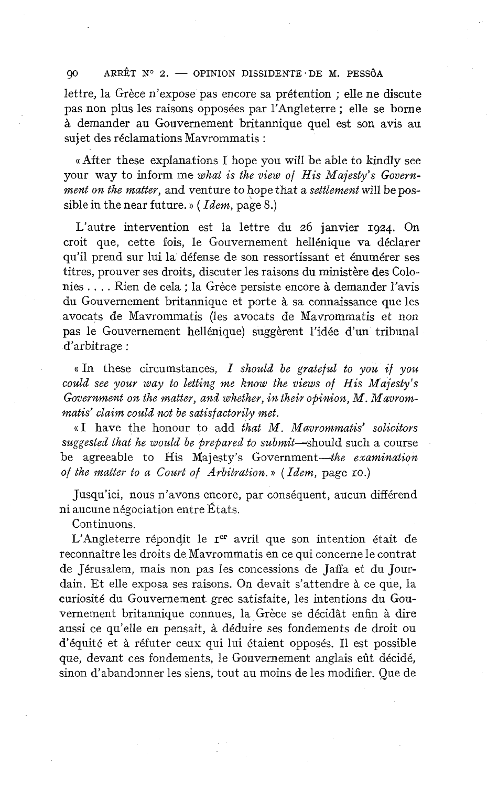#### $QO$ ARRÊT Nº 2. - OPINION DISSIDENTE DE M. PESSÔA

lettre, la Grèce n'expose pas encore sa prétention ; elle ne discute pas non plus les raisons opposées par l'Angleterre ; elle se borne à demander au Gouvernement britannique quel est son avis au sujet des réclamations Mavrommatis :

« After these explanations 1 hope you will be able to kindly see your way to inform me *what is the view of His Majesty's Government on the matter,* and venture to hope that a *settlement* will be possible in the near future. » ( *Idem,* page *8.)* 

L'autre intervention est la lettre du 26 janvier **1924.** On croit que, cette fois, le Gouvernement hellénique va déclarer qu'il prend sur lui la défense de son ressortissant et énumérer ses titres, prouver ses droits, discuter les raisons du ministère des Colonies . . . . Rien de cela ; la Grèce persiste encore à demander l'avis du Gouvernement britannique et porte à sa connaissance que les avocats de Mavrommatis (les avocats de Mavrommatis et non pas le Gouvernement hellénique) suggèrent l'idée d'un tribunal d'arbitrage :

 $\kappa$  In these circumstances, I should be grateful to you if you *could see your way to letting me know the views of His Majesty's Government on the matter, and whether, in their opinion, M. Mavrommatis' claim could not be satisfactorily met.* 

((1 have the honour to add *that M. Mavrommatis' solicitors suggested that he would be prepaved to submit-should* such a course be agreeable to His Majesty's Government-the examination *of the matter to a Court of Arbitration.* » *(Idem,* page IO.)

Jusqu'ici, nous n'avons encore, par conséquent, aucun différend ni aucune négociation entre États.

Continuons.

L'Angleterre répondit le r<sup>er</sup> avril que son intention était de reconnaître les droits de Mavrommatis en ce qui concerne le contrat de Jérusalem, mais non pas les concessions de Jaffa et du Jourdain. Et elle exposa ses raisons. On devait s'attendre à ce que, la curiosité du Gouvernement grec satisfaite, les intentions du Gouvernement britannique connues, la Grèce se décidât enfin à dire aussi ce qu'elle en pensait, à déduire ses fondements de droit ou d'équité et à réfuter ceux qui lui étaient opposés. Il est possible que, devant ces fondements, le Gouvernement anglais eût décidé, sinon d'abandonner les siens, tout au moins de les modifier. Que de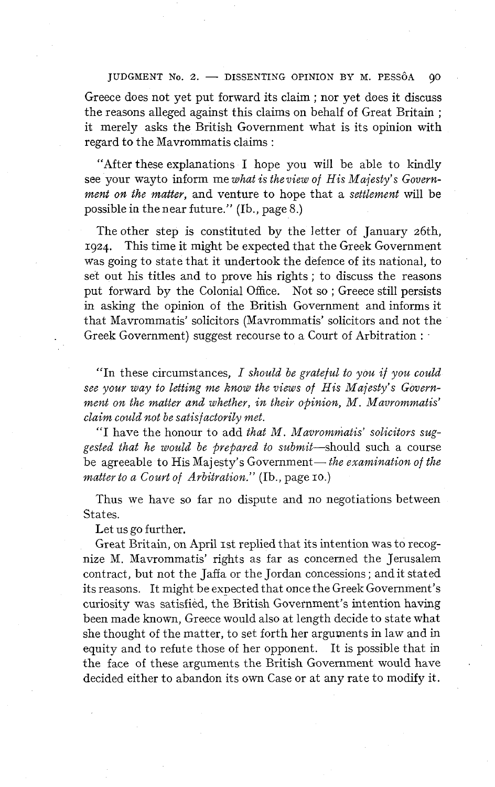IUDGMENT No. 2. - DISSENTING OPINION BY M. PESSÔA  $00$ 

Greece does not yet put forward its claim ; nor yet does it discuss the reasons alleged against this claims on behalf of Great Britain ; it. merely asks the British Govemment what is its opinion with regard to the Mavrommatis claims :

"After these explanations 1 hope you will be able to kindly see your wayto inform me *what is theview of His Majesty's Government on the matter,* and venture to hope that a *settlement* will be possible in the near future." (Ib., page 8.)

The other step is constituted by the letter of January 26th, **1924.** This time it might be expected that the Greek Government was going to state that it undertook the defence of its national, to set out his titles and to prove his rights ; to discuss the reasons put forward by the Colonial Office. Not so ; Greece still persists in asking the opinion of the British Government and informs it that Mavrommatis' solicitors (Mavrommatis' solicitors and not the Greek Government) suggest recourse to a Court of Arbitration :

"In these circumstances, I *should be grateful to you if you could see your way to letting me know the views of His Majesty's Government on the matter and whether, in their opinion, M. Mavrommatis' claim could not be satisfactorily met.* 

"I have the honour to add *that M. Mavrommatis' solicitors suggested that he would be prepared to* submit-should such a course be agreeable to His Majesty's Government— *the examination of the matter to a Court of Arbitration."* (Ib., page IO.)

Thus we have so far no dispute and no negotiations between States.

Let us go further.

Great Britain, on April 1st replied that its intention was to recognize M. Mavrommatis' rights as far as concerned the Jerusalem contract, but not the Jaffa or the Jordan concessions; andit stated its reasons. It might be expected that once the Greek Government's curiosity was satisfied, the British Government's intention having been made known, Greece would also at length decide to state what she thought of the matter, to set forth her arguments in law and in equity and to refute those of her opponent. It is possible that in the face of these arguments the British Government would have . decided either to abandon its own Case or at any rate to modify it.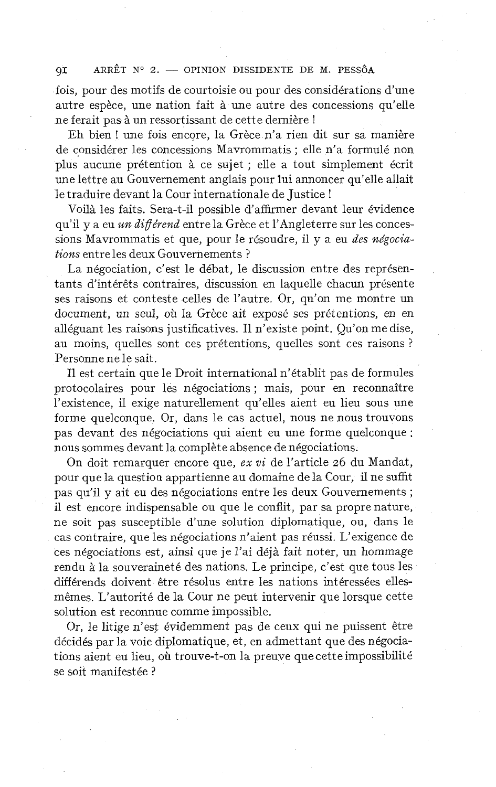### ARRÊT N° 2. - OPINION DISSIDENTE DE M. PESSÔA  $QI$

fois, pour des motifs de courtoisie ou pour des considérations d'une autre espèce, une nation fait à une autre des concessions qu'elle ne ferait pas à un ressortissant de cette dernière !

Eh bien ! une fois encore, la Grèce n'a rien dit sur sa manière de considérer les concessions Mavrommatis ; elle n'a formulé non plus aucune prétention à ce sujet ; elle a tout simplement écrit une lettre au Gouvernement anglais pour lui annoncer qu'elle allait le traduire devant la Cour internationale de Justice !

Voilà les faits. Sera-t-il possible d'affirmer devant leur évidence qu'il y a eu *un diférend* entre la Grèce et l'Angleterre sur les concessions Mavrommatis et que, pour le résoudre, il y a eu *des négociations* entre les deux Gouvernements ?

La négociation, c'est le débat, le discussion entre des représentants d'intérêts contraires, discussion en laquelle chacun présente ses raisons et conteste celles de l'autre. Or, qu'on me montre un document, un seul, où la Grèce ait exposé ses prétentions, en en alléguant les raisons justificatives. Il n'existe point. Qu'on me dise, au moins, quelles sont ces prétentions, quelles sont ces raisons ? Personne ne le sait.

Il est certain que le Droit international n'établit pas de formules protocolaires pour les négociations ; mais, pour en reconnaître l'existence, il exige naturellement qu'elles aient eu lieu sous une forme quelconque. Or, dans le cas actuel, nous ne nous trouvons pas devant des négociations qui aient eu une forme quelconque : nous sommes devant la complète absence de négociations.

On doit remarquer encore que, *ex vi* de l'article *26* du Mandat, pour que la question appartienne au domaine de la Cour, il ne suffit pas qu'il y ait eu des négociations entre les deux Gouvernements ; il est encore indispensable ou que le conflit, par sa propre nature, ne soit pas susceptible d'une solution diplomatique, ou, dans le cas contraire, que les négociations n'aient pas réussi. L'exigence de ces négociations est, ainsi que je l'ai déjà fait noter, un hommage rendu à la souveraineté des nations. Le principe, c'est que tous les différends doivent être résolus entre les nations intéressées ellesmêmes. L'autorité de la Cour ne peut intervenir que lorsque cette solution est reconnue comme impossible.

Or, le litige n'est évidemment pas de ceux qui ne puissent être décidés par la voie diplomatique, et, en admettant que des négociations aient eu lieu, où trouve-t-on la preuve quecette impossibilité se soit manifestée ?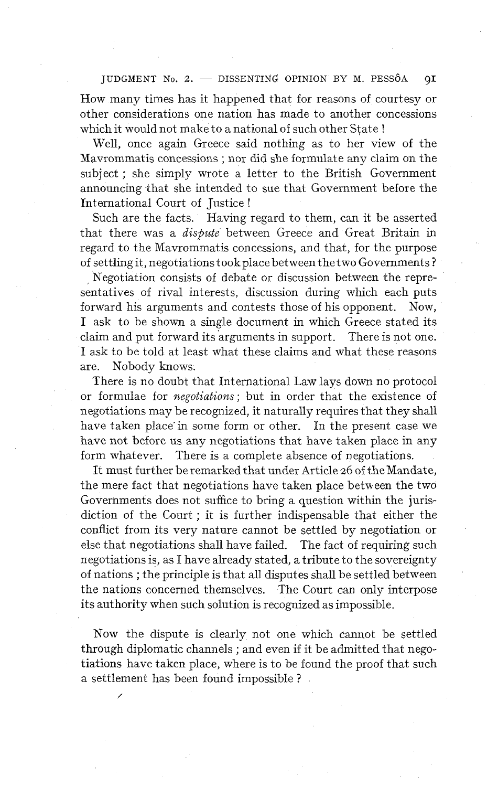JUDGMENT No. 2. - DISSENTING OPINION BY M. PESSÔA  $QI$ 

How many times has it happened that for reasons of courtesy or other considerations one nation has made to another concessions which it would not make to a national of such other State!

Well, once again Greece said nothing as to her view of the Mavrommatis concessions ; nor did she formulate any claim on the subject ; she simply wrote a letter to the British Government announcing that she intended to sue that Government before the International Court of Justice !

Such are the facts. Having regard to them, can it be asserted that there was a *dispute* between Greece and Great Britain in regard to the Mavrommatis concessions, and that, for the purpose of settling it, negotiations tookplace between the two Governments ?

Negotiation consists of debate or discussion between the representatives of rival interests, discussion during which each puts forward his arguments and contests those of his opponent. Now, I ask to be shown a single document in which Greece stated its claim and put forward its arguments in support. There is not one. 1 ask to be told at least what these claims and what these reasons are. Nobody knows.

There is no doubt that International Law lays down no protocol or formulae for *negotiations;* but in order that the existence of negotiations may be recognized, it naturally requires that they shall have taken place in some form or other. In the present case we have not before us any negotiations that have taken place in any form whatever. There is a complete absence of negotiations.

It must further be remarked that under Article 26 of the Mandate, the mere fact that negotiations have taken place between the two Governments does not suffice to bring a question within the jurisdiction of the Court ; it is further indispensable that either the conflict from its very nature cannot be settled by negotiation or else that negotiations shall have failed. The fact of requiring such negotiations is, as 1 have already stated, a tribute to the sovereignty of nations ; the principle is that all disputes shall be settled between the nations concerned themselves. The Court can only interpose its authority when such solution is recognized as impossible.

Now the dispute is clearly not one which cannot be settled through diplomatic channels ; and even if it be admitted that negotiations have taken place, where is to be found the proof that such a settlement has been found impossible ?

/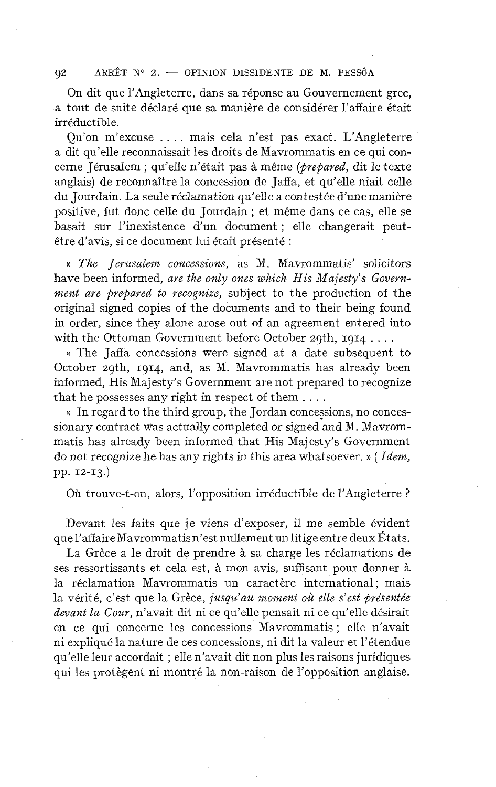#### ARRÊT N° 2. - OPINION DISSIDENTE DE M. PESSÔA  $Q2$

On dit que l'Angleterre, dans sa réponse au Gouvernement grec, a tout de suite déclaré que sa manière de considérer l'affaire était irréductible.

Qu'on m'excuse . . . . mais cela n'est pas exact. L'Angleterre a dit qu'elle reconnaissait les droits de Mavrommatis en ce qui concerne Jérusalem ; qu'elle n'était pas à même *(prepared,* dit le texte anglais) de reconnaître la concession de Jaffa, et qu'elle niait celle du Jourdain. La seule réclamation qu'elle a contestée d'une manière positive, fut donc celle du Jourdain ; et même dans ce cas, elle se basait sur l'inexistence d'un document ; elle changerait peutêtre d'avis, si ce document lui était présenté :

(( *The Jerusalem concessions,* as M. Mavrommatis' solicitors have been informed, are the only ones which His Majesty's Govern*ment are prepared* to *recognize,* subject to the production of the original signed copies of the documents and to their being found in order, since they alone arose out of an agreement entered into

with the Ottoman Government before October 29th,  $1914...$ <br>
« The Jaffa concessions were signed at a date subsequent to October zgth, **1914,** and, as M. Mavrommatis has already been informed, His Majesty's Govemment are not prepared to recognize that he possesses any right in respect of them . . . .

(( In regard to the third group, the Jordan concessions, no concessionary contract was actually completed or signed and M. Mavrommatis has already been informed that His Majesty's Govemment do not recognize he has any rights in this area whatsoever. )) ( *Idem,*  pp. 12-13.)

Où trouve-t-on, alors, l'opposition irréductible de l'Angleterre ?

Devant les faits que je viens d'exposer, il me semble évident que l'affaire Mavrommatisn'est nullement un litige entre deux États.

La Grèce a le droit de prendre à sa charge les réclamations de ses ressortissants et cela est, à mon avis, suffisant pour donner à la réclamation Mavrommatis un caractère international; mais la vérité, c'est que la Grèce, *jusqu'au moment où elle s'est présentée devant la Cour,* n'avait dit ni ce qu'elle pensait ni ce qu'elle désirait en ce qui concerne les concessions Mavrommatis ; elle n'avait ni expliqué la nature de ces concessions, ni dit la valeur et l'étendue qu'elle leur accordait ; elle n'avait dit non plus les raisons juridiques qui les protègent ni montré la non-raison de l'opposition anglaise.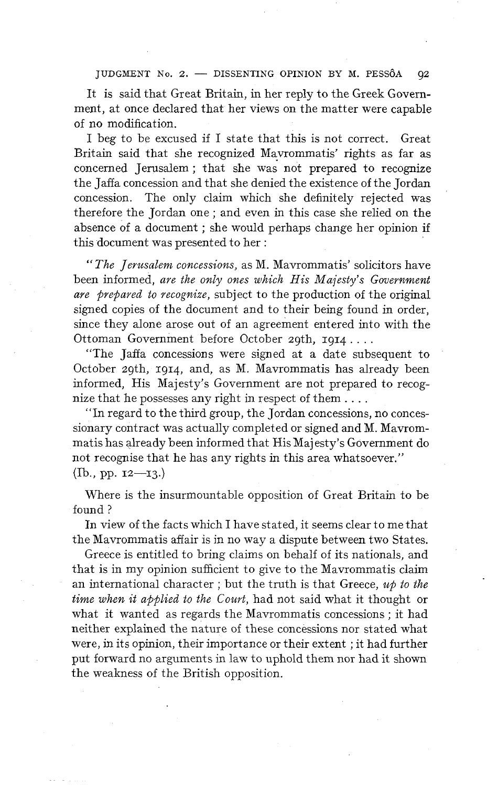JUDGMENT No. 2. - DISSENTING OPINION BY M. PESSÔA  $Q2$ 

It is said that Great Britain, in her reply to the Greek Government, at once declared that her views on the matter were capable of no modification.

1 beg to be excused if 1 state that this is not correct. Great Britain said that she recognized Mavrommatis' rights as far as concerned Jerusalem ; that she was not prepared to recognize the Jaffa concession and that she denied the existence of the Jordan concession. The only claim which she definitely rejected was therefore the Jordan one ; and even in this case she relied on the absence of a document ; she would perhaps change her opinion if this document was presented to her :

" *The Jerusalem concessions,* as M. Mavrommatis' solicitors have been informed, *are the only ones which His Majesty's Governrnent are prepaved to recognize,* subject to the production of the original signed copies of the document and to their being found in order, since they alone arose out of an agreement entered into with the Ottoman Government before October 20th, 1914....

"The Jaffa concessions were signed at a date subsequent to October zgth, 1914, and, as M. Mavrommatis has already been informed, His Majesty's Government are not prepared to recognize that he possesses any right in respect of them . . . .

"In regard to the third group, the Jordan concessions, no concessionary contract was actually completed or signed and M. Mavrommatis has already been informed that His Majesty's Government do not recognise that he has any rights in this area whatsoever."  $(Ib., pp. 12—13.)$ 

Where is the insurmountable opposition of Great Britain to be found ?

In view of the facts which 1 have stated, it seems clear to me that the Mavrommatis affair is in no way a dispute between two States.

Greece is entitled to bring claims on behalf of its nationals, and that is in my opinion sufficient to give to the Mavrommatis claim an international character ; but the truth is that Greece, *up to the tirne when it applied to the Couvt,* had not said what it thought or what it wanted as regards the Mavrommatis concessions ; it had neither explained the nature of these concessions nor stated what were, in its opinion, their importance or their extent ; it had further put forward no arguments in law to uphold them nor had it shown the weakness of the British opposition.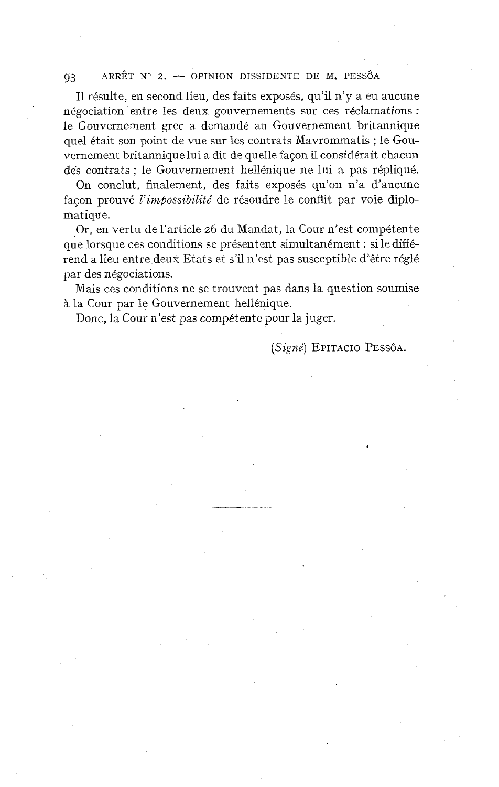#### ARRÊT N° 2.  $\rightarrow$  OPINION DISSIDENTE DE M. PESSÔA 93

Il résulte, en second lieu, des faits exposés, qu'il n'y a eu aucune négociation entre les deux gouvernements sur ces réclamations : le Gouvernement grec a demandé au Gouvernement britannique quel était son point de vue sur les contrats Mavrommatis ; le Gouvernement britannique lui a dit de quelle façon il considérait chacun des contrats ; le Gouvernement hellénique ne lui a pas répliqué.

On conclut, finalement, des faits exposés qu'on n'a d'aucune façon prouvé **l'impossibilité** de résoudre le conflit par voie diplomatique.

Or, en vertu de l'article 26 du Mandat, la Cour n'est compétente que lorsque ces conditions se présentent simultanément : si le différend a lieu entre deux Etats et s'il n'est pas susceptible d'être réglé par des négociations.

Mais ces conditions ne se trouvent pas dans la question soumise à la Cour par le Gouvernement hellénique.

Donc, la Cour n'est pas compétente pour la juger.

**(Signé)** EPITACIO PESSÔA.